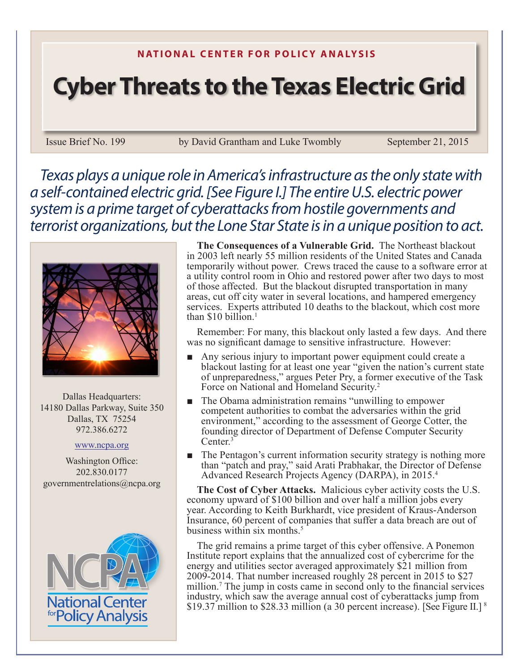## **N ATIONAL CENTER FOR POLICY ANALYSIS**

## **Cyber Threats to the Texas Electric Grid**

Issue Brief No. 199 by David Grantham and Luke Twombly September 21, 2015

*Texas plays a unique role in America's infrastructure as the only state with a self-contained electric grid. [See Figure I.] The entire U.S. electric power system is a prime target of cyberattacks from hostile governments and terrorist organizations, but the Lone Star State is in a unique position to act.*



Dallas Headquarters: 14180 Dallas Parkway, Suite 350 Dallas, TX 75254 972.386.6272

## www.ncpa.org

Washington Office: 202.830.0177 governmentrelations@ncpa.org



**The Consequences of a Vulnerable Grid.** The Northeast blackout in 2003 left nearly 55 million residents of the United States and Canada temporarily without power. Crews traced the cause to a software error at a utility control room in Ohio and restored power after two days to most of those affected. But the blackout disrupted transportation in many areas, cut off city water in several locations, and hampered emergency services. Experts attributed 10 deaths to the blackout, which cost more than  $$10$  billion.<sup>1</sup>

Remember: For many, this blackout only lasted a few days. And there was no significant damage to sensitive infrastructure. However:

- Any serious injury to important power equipment could create a blackout lasting for at least one year "given the nation's current state of unpreparedness," argues Peter Pry, a former executive of the Task Force on National and Homeland Security.<sup>2</sup>
- The Obama administration remains "unwilling to empower" competent authorities to combat the adversaries within the grid environment," according to the assessment of George Cotter, the founding director of Department of Defense Computer Security Center.<sup>3</sup>
- The Pentagon's current information security strategy is nothing more than "patch and pray," said Arati Prabhakar, the Director of Defense Advanced Research Projects Agency (DARPA), in 2015.4

**The Cost of Cyber Attacks.** Malicious cyber activity costs the U.S. economy upward of \$100 billion and over half a million jobs every year. According to Keith Burkhardt, vice president of Kraus-Anderson Insurance, 60 percent of companies that suffer a data breach are out of business within six months. $5$ 

The grid remains a prime target of this cyber offensive. A Ponemon Institute report explains that the annualized cost of cybercrime for the energy and utilities sector averaged approximately \$21 million from 2009-2014. That number increased roughly 28 percent in 2015 to \$27 million.<sup>7</sup> The jump in costs came in second only to the financial services industry, which saw the average annual cost of cyberattacks jump from \$19.37 million to \$28.33 million (a 30 percent increase). [See Figure II.] <sup>8</sup>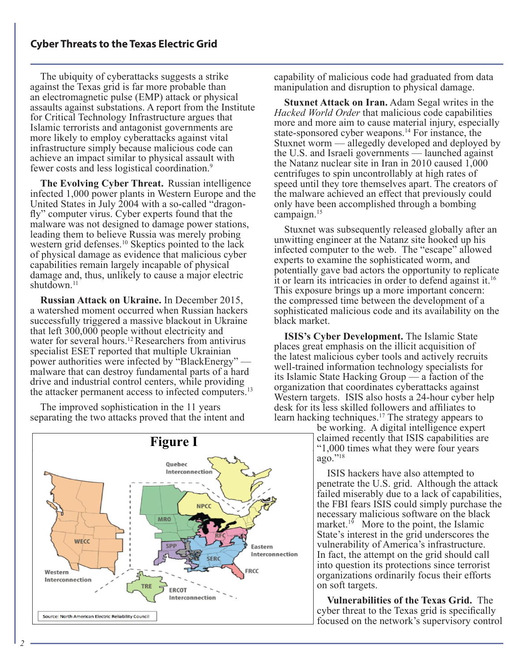The ubiquity of cyberattacks suggests a strike against the Texas grid is far more probable than an electromagnetic pulse (EMP) attack or physical assaults against substations. A report from the Institute for Critical Technology Infrastructure argues that Islamic terrorists and antagonist governments are more likely to employ cyberattacks against vital infrastructure simply because malicious code can achieve an impact similar to physical assault with fewer costs and less logistical coordination.9

**The Evolving Cyber Threat.** Russian intelligence infected 1,000 power plants in Western Europe and the United States in July 2004 with a so-called "dragonfly" computer virus. Cyber experts found that the malware was not designed to damage power stations, leading them to believe Russia was merely probing western grid defenses.10 Skeptics pointed to the lack of physical damage as evidence that malicious cyber capabilities remain largely incapable of physical damage and, thus, unlikely to cause a major electric shutdown.<sup>11</sup>

**Russian Attack on Ukraine.** In December 2015, a watershed moment occurred when Russian hackers successfully triggered a massive blackout in Ukraine that left 300,000 people without electricity and water for several hours.<sup>12</sup> Researchers from antivirus specialist ESET reported that multiple Ukrainian power authorities were infected by "BlackEnergy" – malware that can destroy fundamental parts of a hard drive and industrial control centers, while providing the attacker permanent access to infected computers.<sup>13</sup>

The improved sophistication in the 11 years separating the two attacks proved that the intent and

capability of malicious code had graduated from data manipulation and disruption to physical damage.

**Stuxnet Attack on Iran.** Adam Segal writes in the *Hacked World Order* that malicious code capabilities more and more aim to cause material injury, especially state-sponsored cyber weapons.14 For instance, the Stuxnet worm — allegedly developed and deployed by the U.S. and Israeli governments  $\frac{1}{\sqrt{2}}$  launched against the Natanz nuclear site in Iran in 2010 caused 1,000 centrifuges to spin uncontrollably at high rates of speed until they tore themselves apart. The creators of the malware achieved an effect that previously could only have been accomplished through a bombing campaign.15

Stuxnet was subsequently released globally after an unwitting engineer at the Natanz site hooked up his infected computer to the web. The "escape" allowed experts to examine the sophisticated worm, and potentially gave bad actors the opportunity to replicate it or learn its intricacies in order to defend against it.16 This exposure brings up a more important concern: the compressed time between the development of a sophisticated malicious code and its availability on the black market.

**ISIS's Cyber Development.** The Islamic State places great emphasis on the illicit acquisition of the latest malicious cyber tools and actively recruits well-trained information technology specialists for its Islamic State Hacking Group  $\overline{\phantom{a}}$  a faction of the organization that coordinates cyberattacks against Western targets. ISIS also hosts a 24-hour cyber help desk for its less skilled followers and affiliates to learn hacking techniques.<sup>17</sup> The strategy appears to

be working. A digital intelligence expert claimed recently that ISIS capabilities are "1,000 times what they were four years ago."18

ISIS hackers have also attempted to penetrate the U.S. grid. Although the attack failed miserably due to a lack of capabilities, the FBI fears ISIS could simply purchase the necessary malicious software on the black market.<sup>19</sup> More to the point, the Islamic State's interest in the grid underscores the vulnerability of America's infrastructure. In fact, the attempt on the grid should call into question its protections since terrorist organizations ordinarily focus their efforts on soft targets.

**Vulnerabilities of the Texas Grid.** The cyber threat to the Texas grid is specifically focused on the network's supervisory control

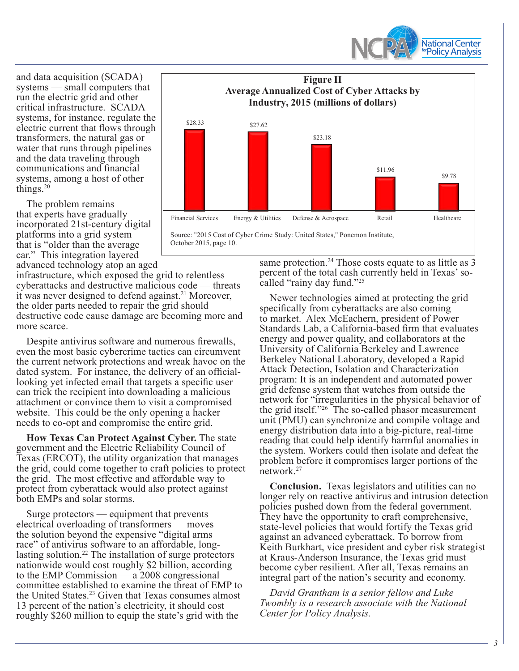

and data acquisition (SCADA) systems — small computers that run the electric grid and other critical infrastructure. SCADA systems, for instance, regulate the electric current that flows through transformers, the natural gas or water that runs through pipelines and the data traveling through communications and financial systems, among a host of other things. $20$ 

The problem remains that experts have gradually incorporated 21st-century digital platforms into a grid system that is "older than the average car." This integration layered advanced technology atop an aged

infrastructure, which exposed the grid to relentless cyberattacks and destructive malicious code — threats it was never designed to defend against.<sup>21</sup> Moreover, the older parts needed to repair the grid should destructive code cause damage are becoming more and more scarce.

Despite antivirus software and numerous firewalls, even the most basic cybercrime tactics can circumvent the current network protections and wreak havoc on the dated system. For instance, the delivery of an officiallooking yet infected email that targets a specific user can trick the recipient into downloading a malicious attachment or convince them to visit a compromised website. This could be the only opening a hacker needs to co-opt and compromise the entire grid.

**How Texas Can Protect Against Cyber.** The state government and the Electric Reliability Council of Texas (ERCOT), the utility organization that manages the grid, could come together to craft policies to protect the grid. The most effective and affordable way to protect from cyberattack would also protect against both EMPs and solar storms.

Surge protectors — equipment that prevents electrical overloading of transformers — moves the solution beyond the expensive "digital arms race" of antivirus software to an affordable, longlasting solution.22 The installation of surge protectors nationwide would cost roughly \$2 billion, according to the EMP Commission  $-$  a 2008 congressional committee established to examine the threat of EMP to the United States.23 Given that Texas consumes almost 13 percent of the nation's electricity, it should cost roughly \$260 million to equip the state's grid with the



Source: "2015 Cost of Cyber Crime Study: United States," Ponemon Institute, October 2015, page 10.

> same protection.<sup>24</sup> Those costs equate to as little as 3 percent of the total cash currently held in Texas' socalled "rainy day fund."25

Newer technologies aimed at protecting the grid specifically from cyberattacks are also coming to market. Alex McEachern, president of Power Standards Lab, a California-based firm that evaluates energy and power quality, and collaborators at the University of California Berkeley and Lawrence Berkeley National Laboratory, developed a Rapid Attack Detection, Isolation and Characterization program: It is an independent and automated power grid defense system that watches from outside the network for "irregularities in the physical behavior of the grid itself."26 The so-called phasor measurement unit (PMU) can synchronize and compile voltage and energy distribution data into a big-picture, real-time reading that could help identify harmful anomalies in the system. Workers could then isolate and defeat the problem before it compromises larger portions of the network.<sup>27</sup>

**Conclusion.** Texas legislators and utilities can no longer rely on reactive antivirus and intrusion detection policies pushed down from the federal government. They have the opportunity to craft comprehensive, state-level policies that would fortify the Texas grid against an advanced cyberattack. To borrow from Keith Burkhart, vice president and cyber risk strategist at Kraus-Anderson Insurance, the Texas grid must become cyber resilient. After all, Texas remains an integral part of the nation's security and economy.

*David Grantham is a senior fellow and Luke Twombly is a research associate with the National Center for Policy Analysis.*